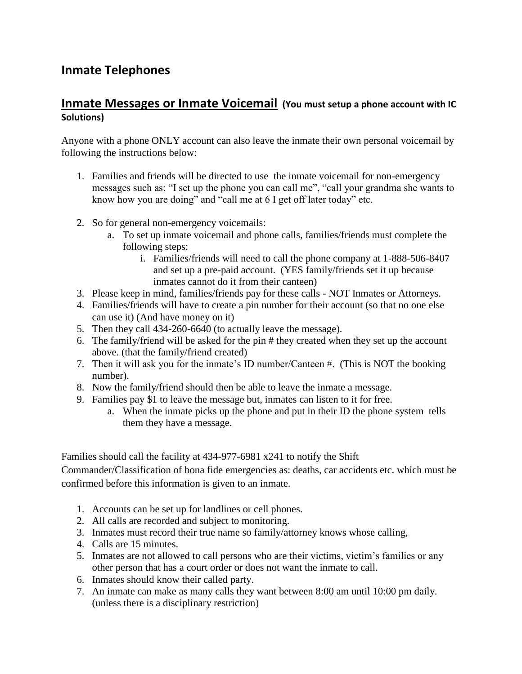# **Inmate Telephones**

### **Inmate Messages or Inmate Voicemail (You must setup a phone account with IC Solutions)**

Anyone with a phone ONLY account can also leave the inmate their own personal voicemail by following the instructions below:

- 1. Families and friends will be directed to use the inmate voicemail for non-emergency messages such as: "I set up the phone you can call me", "call your grandma she wants to know how you are doing" and "call me at 6 I get off later today" etc.
- 2. So for general non-emergency voicemails:
	- a. To set up inmate voicemail and phone calls, families/friends must complete the following steps:
		- i. Families/friends will need to call the phone company at 1-888-506-8407 and set up a pre-paid account. (YES family/friends set it up because inmates cannot do it from their canteen)
- 3. Please keep in mind, families/friends pay for these calls NOT Inmates or Attorneys.
- 4. Families/friends will have to create a pin number for their account (so that no one else can use it) (And have money on it)
- 5. Then they call 434-260-6640 (to actually leave the message).
- 6. The family/friend will be asked for the pin # they created when they set up the account above. (that the family/friend created)
- 7. Then it will ask you for the inmate's ID number/Canteen #. (This is NOT the booking number).
- 8. Now the family/friend should then be able to leave the inmate a message.
- 9. Families pay \$1 to leave the message but, inmates can listen to it for free.
	- a. When the inmate picks up the phone and put in their ID the phone system tells them they have a message.

Families should call the facility at 434-977-6981 x241 to notify the Shift

Commander/Classification of bona fide emergencies as: deaths, car accidents etc. which must be confirmed before this information is given to an inmate.

- 1. Accounts can be set up for landlines or cell phones.
- 2. All calls are recorded and subject to monitoring.
- 3. Inmates must record their true name so family/attorney knows whose calling,
- 4. Calls are 15 minutes.
- 5. Inmates are not allowed to call persons who are their victims, victim's families or any other person that has a court order or does not want the inmate to call.
- 6. Inmates should know their called party.
- 7. An inmate can make as many calls they want between 8:00 am until 10:00 pm daily. (unless there is a disciplinary restriction)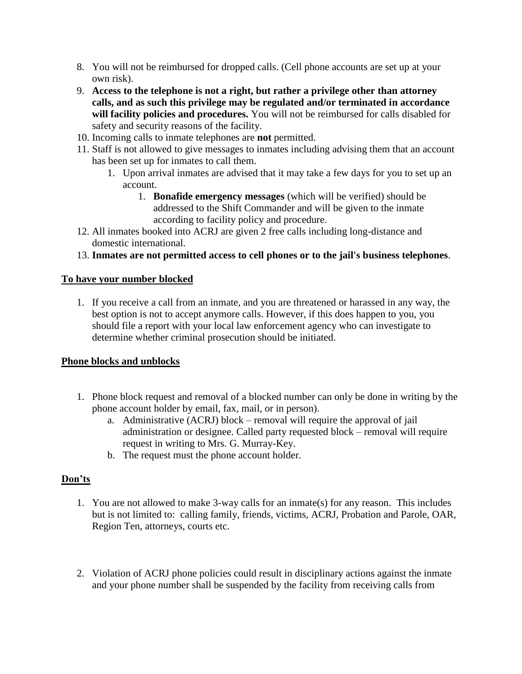- 8. You will not be reimbursed for dropped calls. (Cell phone accounts are set up at your own risk).
- 9. **Access to the telephone is not a right, but rather a privilege other than attorney calls, and as such this privilege may be regulated and/or terminated in accordance will facility policies and procedures.** You will not be reimbursed for calls disabled for safety and security reasons of the facility.
- 10. Incoming calls to inmate telephones are **not** permitted.
- 11. Staff is not allowed to give messages to inmates including advising them that an account has been set up for inmates to call them.
	- 1. Upon arrival inmates are advised that it may take a few days for you to set up an account.
		- 1. **Bonafide emergency messages** (which will be verified) should be addressed to the Shift Commander and will be given to the inmate according to facility policy and procedure.
- 12. All inmates booked into ACRJ are given 2 free calls including long-distance and domestic international.
- 13. **Inmates are not permitted access to cell phones or to the jail's business telephones**.

#### **To have your number blocked**

1. If you receive a call from an inmate, and you are threatened or harassed in any way, the best option is not to accept anymore calls. However, if this does happen to you, you should file a report with your local law enforcement agency who can investigate to determine whether criminal prosecution should be initiated.

#### **Phone blocks and unblocks**

- 1. Phone block request and removal of a blocked number can only be done in writing by the phone account holder by email, fax, mail, or in person).
	- a. Administrative (ACRJ) block removal will require the approval of jail administration or designee. Called party requested block – removal will require request in writing to Mrs. G. Murray-Key.
	- b. The request must the phone account holder.

#### **Don'ts**

- 1. You are not allowed to make 3-way calls for an inmate(s) for any reason. This includes but is not limited to: calling family, friends, victims, ACRJ, Probation and Parole, OAR, Region Ten, attorneys, courts etc.
- 2. Violation of ACRJ phone policies could result in disciplinary actions against the inmate and your phone number shall be suspended by the facility from receiving calls from